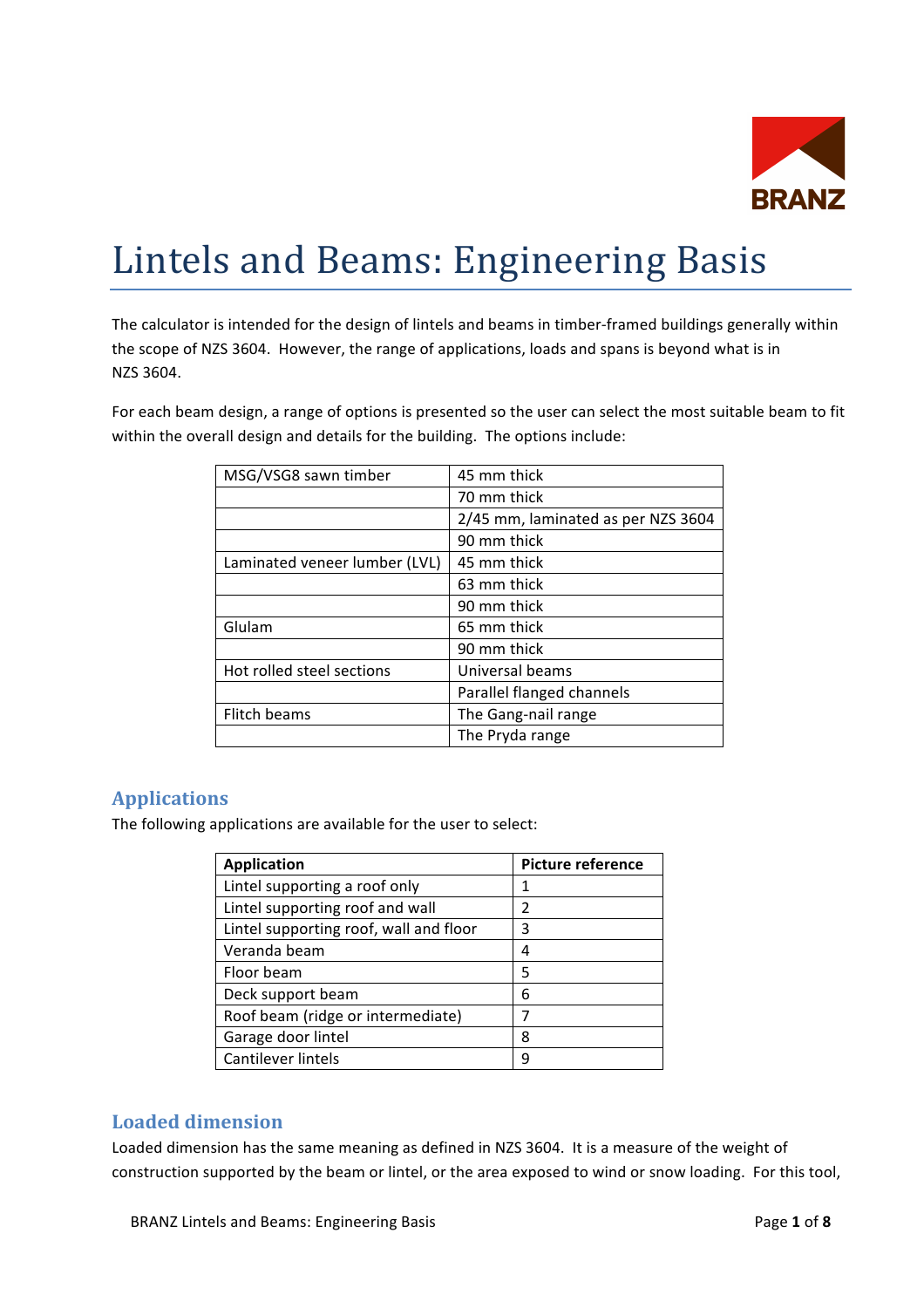

# Lintels and Beams: Engineering Basis

The calculator is intended for the design of lintels and beams in timber-framed buildings generally within the scope of NZS 3604. However, the range of applications, loads and spans is beyond what is in NZS 3604.

For each beam design, a range of options is presented so the user can select the most suitable beam to fit within the overall design and details for the building. The options include:

| MSG/VSG8 sawn timber          | 45 mm thick                        |
|-------------------------------|------------------------------------|
|                               | 70 mm thick                        |
|                               | 2/45 mm, laminated as per NZS 3604 |
|                               | 90 mm thick                        |
| Laminated veneer lumber (LVL) | 45 mm thick                        |
|                               | 63 mm thick                        |
|                               | 90 mm thick                        |
| Glulam                        | 65 mm thick                        |
|                               | 90 mm thick                        |
| Hot rolled steel sections     | Universal beams                    |
|                               | Parallel flanged channels          |
| Flitch beams                  | The Gang-nail range                |
|                               | The Pryda range                    |

## **Applications**

The following applications are available for the user to select:

| <b>Application</b>                     | <b>Picture reference</b> |
|----------------------------------------|--------------------------|
| Lintel supporting a roof only          | 1                        |
| Lintel supporting roof and wall        | 2                        |
| Lintel supporting roof, wall and floor | 3                        |
| Veranda beam                           | 4                        |
| Floor beam                             | 5                        |
| Deck support beam                      | 6                        |
| Roof beam (ridge or intermediate)      |                          |
| Garage door lintel                     | ጸ                        |
| Cantilever lintels                     | q                        |

## Loaded dimension

Loaded dimension has the same meaning as defined in NZS 3604. It is a measure of the weight of construction supported by the beam or lintel, or the area exposed to wind or snow loading. For this tool,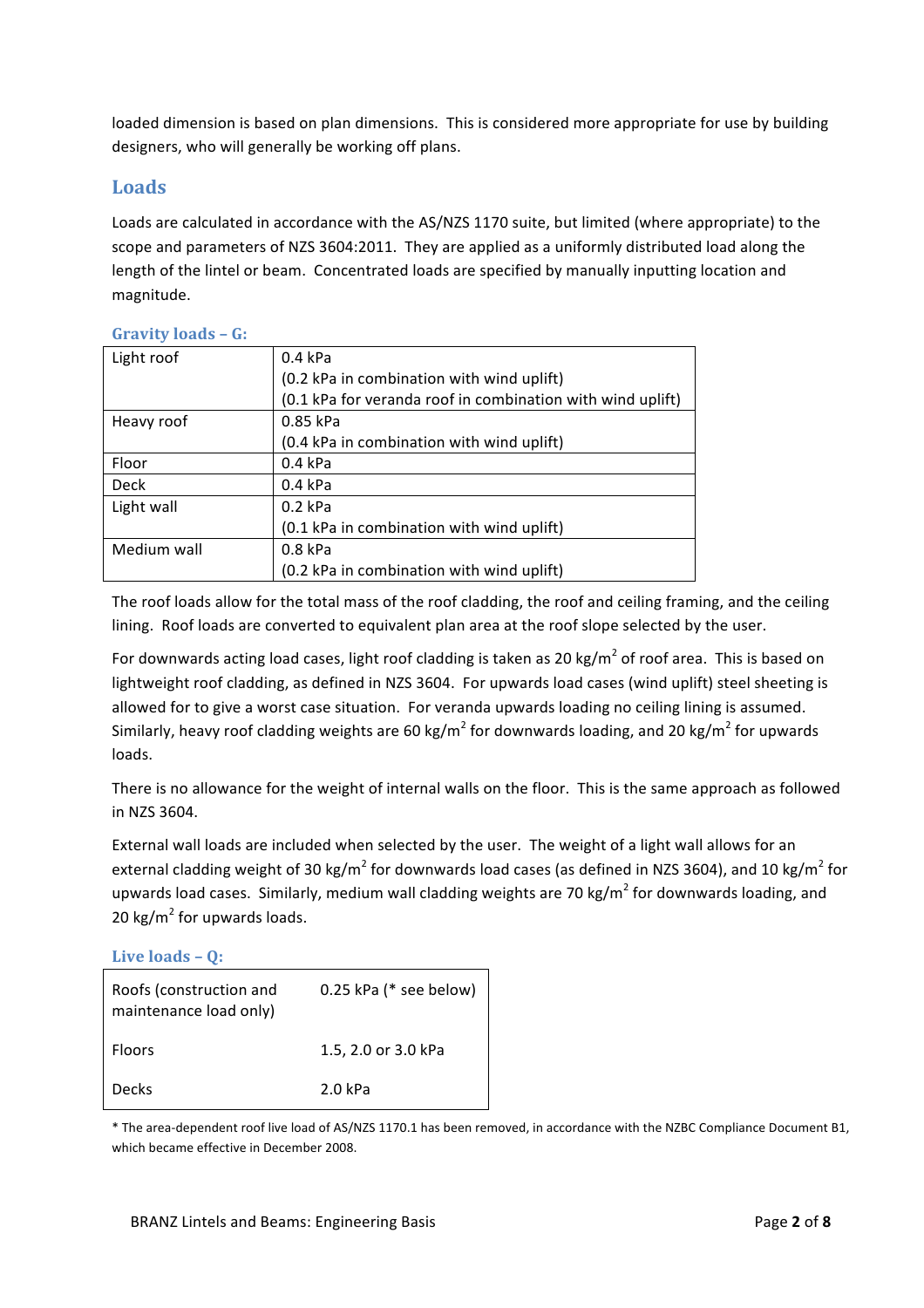loaded dimension is based on plan dimensions. This is considered more appropriate for use by building designers, who will generally be working off plans.

## **Loads**

Loads are calculated in accordance with the AS/NZS 1170 suite, but limited (where appropriate) to the scope and parameters of NZS 3604:2011. They are applied as a uniformly distributed load along the length of the lintel or beam. Concentrated loads are specified by manually inputting location and magnitude.

| Light roof  | $0.4$ kPa                                                  |
|-------------|------------------------------------------------------------|
|             | (0.2 kPa in combination with wind uplift)                  |
|             | (0.1 kPa for veranda roof in combination with wind uplift) |
| Heavy roof  | 0.85 kPa                                                   |
|             | (0.4 kPa in combination with wind uplift)                  |
| Floor       | $0.4$ kPa                                                  |
| Deck        | $0.4$ kPa                                                  |
| Light wall  | $0.2$ kPa                                                  |
|             | (0.1 kPa in combination with wind uplift)                  |
| Medium wall | $0.8$ kPa                                                  |
|             | (0.2 kPa in combination with wind uplift)                  |

## **Gravity+loads – G:**

The roof loads allow for the total mass of the roof cladding, the roof and ceiling framing, and the ceiling lining. Roof loads are converted to equivalent plan area at the roof slope selected by the user.

For downwards acting load cases, light roof cladding is taken as 20 kg/m<sup>2</sup> of roof area. This is based on lightweight roof cladding, as defined in NZS 3604. For upwards load cases (wind uplift) steel sheeting is allowed for to give a worst case situation. For veranda upwards loading no ceiling lining is assumed. Similarly, heavy roof cladding weights are 60 kg/m<sup>2</sup> for downwards loading, and 20 kg/m<sup>2</sup> for upwards loads.

There is no allowance for the weight of internal walls on the floor. This is the same approach as followed in NZS 3604.

External wall loads are included when selected by the user. The weight of a light wall allows for an external cladding weight of 30 kg/m<sup>2</sup> for downwards load cases (as defined in NZS 3604), and 10 kg/m<sup>2</sup> for upwards load cases. Similarly, medium wall cladding weights are 70 kg/m<sup>2</sup> for downwards loading, and 20 kg/ $m^2$  for upwards loads.

Live loads – **Q**:

| Roofs (construction and<br>maintenance load only) | 0.25 kPa (* see below) |
|---------------------------------------------------|------------------------|
| <b>Floors</b>                                     | 1.5, 2.0 or 3.0 kPa    |
| <b>Decks</b>                                      | 2.0 kPa                |

\* The area-dependent roof live load of AS/NZS 1170.1 has been removed, in accordance with the NZBC Compliance Document B1, which became effective in December 2008.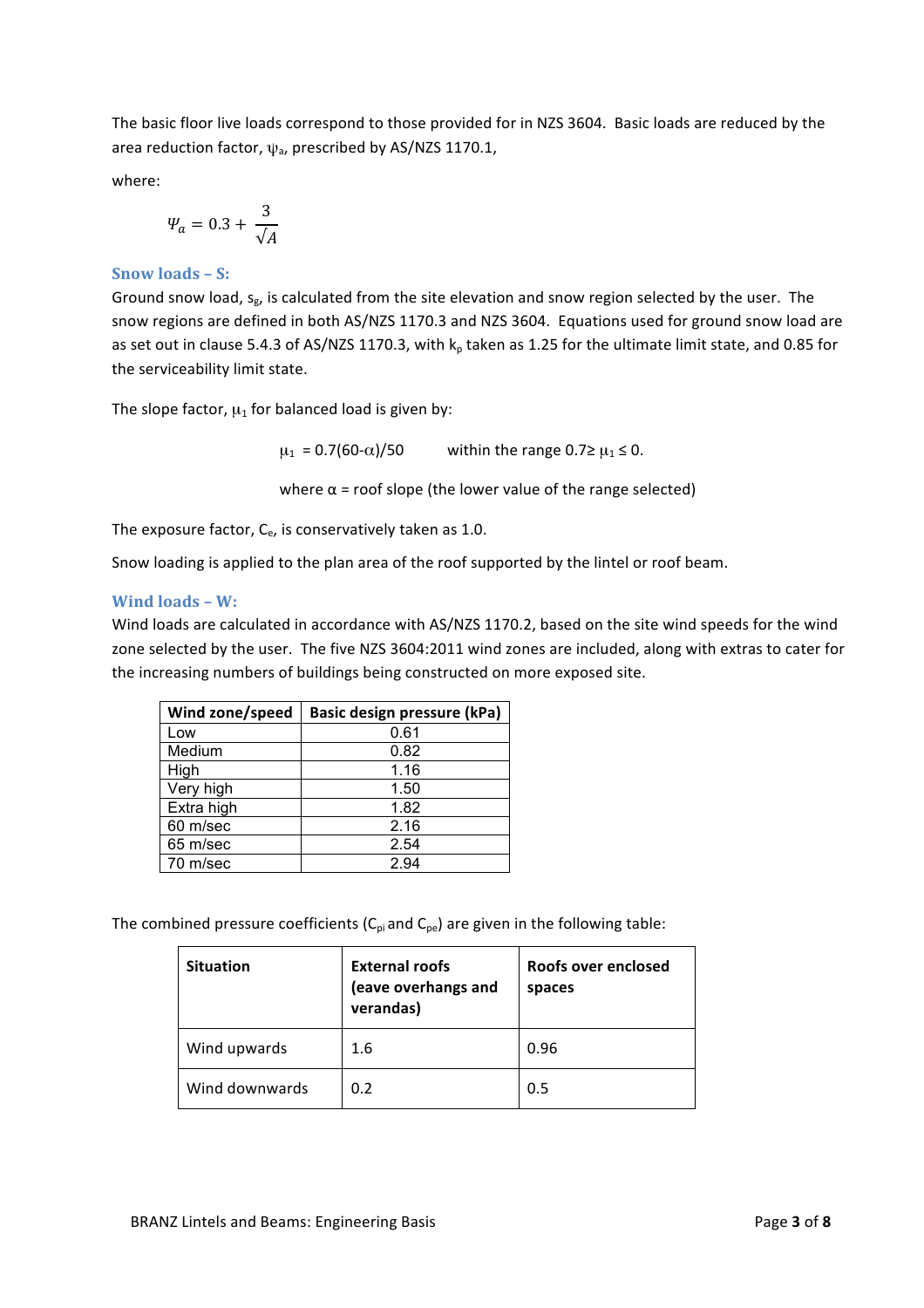The basic floor live loads correspond to those provided for in NZS 3604. Basic loads are reduced by the area reduction factor,  $\psi_a$ , prescribed by AS/NZS 1170.1,

where:

$$
\varPsi_a=0.3+\frac{3}{\sqrt{A}}
$$

#### **Snow loads – S:**

Ground snow load,  $s_g$ , is calculated from the site elevation and snow region selected by the user. The snow regions are defined in both AS/NZS 1170.3 and NZS 3604. Equations used for ground snow load are as set out in clause 5.4.3 of AS/NZS 1170.3, with  $k_p$  taken as 1.25 for the ultimate limit state, and 0.85 for the serviceability limit state.

The slope factor,  $\mu_1$  for balanced load is given by:

 $\mu_1 = 0.7(60-\alpha)/50$  within the range  $0.7 \ge \mu_1 \le 0$ .

where  $\alpha$  = roof slope (the lower value of the range selected)

The exposure factor,  $C_{e}$ , is conservatively taken as 1.0.

Snow loading is applied to the plan area of the roof supported by the lintel or roof beam.

#### **Wind loads – W:**

Wind loads are calculated in accordance with AS/NZS 1170.2, based on the site wind speeds for the wind zone selected by the user. The five NZS 3604:2011 wind zones are included, along with extras to cater for the increasing numbers of buildings being constructed on more exposed site.

| Wind zone/speed | Basic design pressure (kPa) |
|-----------------|-----------------------------|
| Low             | 0.61                        |
| Medium          | 0.82                        |
| High            | 1.16                        |
| Very high       | 1.50                        |
| Extra high      | 1.82                        |
| 60 m/sec        | 2.16                        |
| 65 m/sec        | 2.54                        |
| 70 m/sec        | 2.94                        |

The combined pressure coefficients ( $C_{pi}$  and  $C_{pe}$ ) are given in the following table:

| <b>Situation</b> | <b>External roofs</b><br>(eave overhangs and<br>verandas) | Roofs over enclosed<br>spaces |
|------------------|-----------------------------------------------------------|-------------------------------|
| Wind upwards     | 1.6                                                       | 0.96                          |
| Wind downwards   | 0.2                                                       | 0.5                           |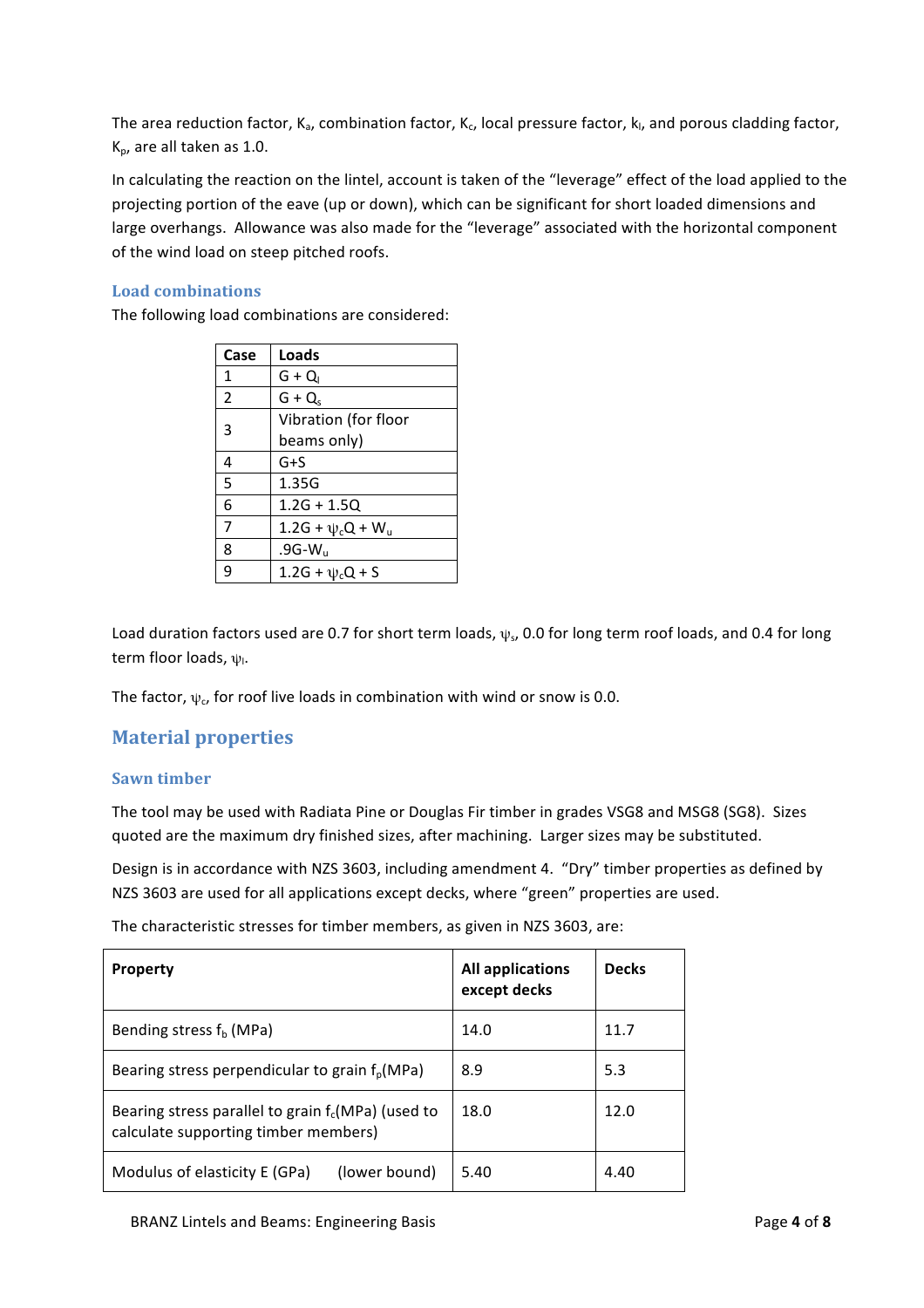The area reduction factor,  $K_a$ , combination factor,  $K_c$ , local pressure factor,  $k_l$ , and porous cladding factor,  $K_p$ , are all taken as 1.0.

In calculating the reaction on the lintel, account is taken of the "leverage" effect of the load applied to the projecting portion of the eave (up or down), which can be significant for short loaded dimensions and large overhangs. Allowance was also made for the "leverage" associated with the horizontal component of the wind load on steep pitched roofs.

#### Load combinations

The following load combinations are considered:

| Case | Loads                   |
|------|-------------------------|
| 1    | $G + Q_1$               |
| 2    | $G + Q_s$               |
| 3    | Vibration (for floor    |
|      | beams only)             |
| 4    | $G + S$                 |
| 5    | 1.35G                   |
| 6    | $1.2G + 1.5Q$           |
| 7    | $1.2G + \psi_c Q + W_u$ |
| 8    | .9G- $W_u$              |
| 9    | 1.2G + $\psi_c Q$ + S   |

Load duration factors used are 0.7 for short term loads,  $\psi_s$ , 0.0 for long term roof loads, and 0.4 for long term floor loads,  $\psi$ <sub>1</sub>.

The factor,  $\psi_c$ , for roof live loads in combination with wind or snow is 0.0.

## **Material+properties**

#### **Sawn+timber**

The tool may be used with Radiata Pine or Douglas Fir timber in grades VSG8 and MSG8 (SG8). Sizes quoted are the maximum dry finished sizes, after machining. Larger sizes may be substituted.

Design is in accordance with NZS 3603, including amendment 4. "Dry" timber properties as defined by NZS 3603 are used for all applications except decks, where "green" properties are used.

The characteristic stresses for timber members, as given in NZS 3603, are:

| <b>Property</b>                                                                              | <b>All applications</b><br>except decks | <b>Decks</b> |
|----------------------------------------------------------------------------------------------|-----------------------------------------|--------------|
| Bending stress $f_b$ (MPa)                                                                   | 14.0                                    | 11.7         |
| Bearing stress perpendicular to grain $f_{\text{o}}(MPa)$                                    | 8.9                                     | 5.3          |
| Bearing stress parallel to grain $f_c(MPa)$ (used to<br>calculate supporting timber members) | 18.0                                    | 12.0         |
| Modulus of elasticity E (GPa)<br>(lower bound)                                               | 5.40                                    | 4.40         |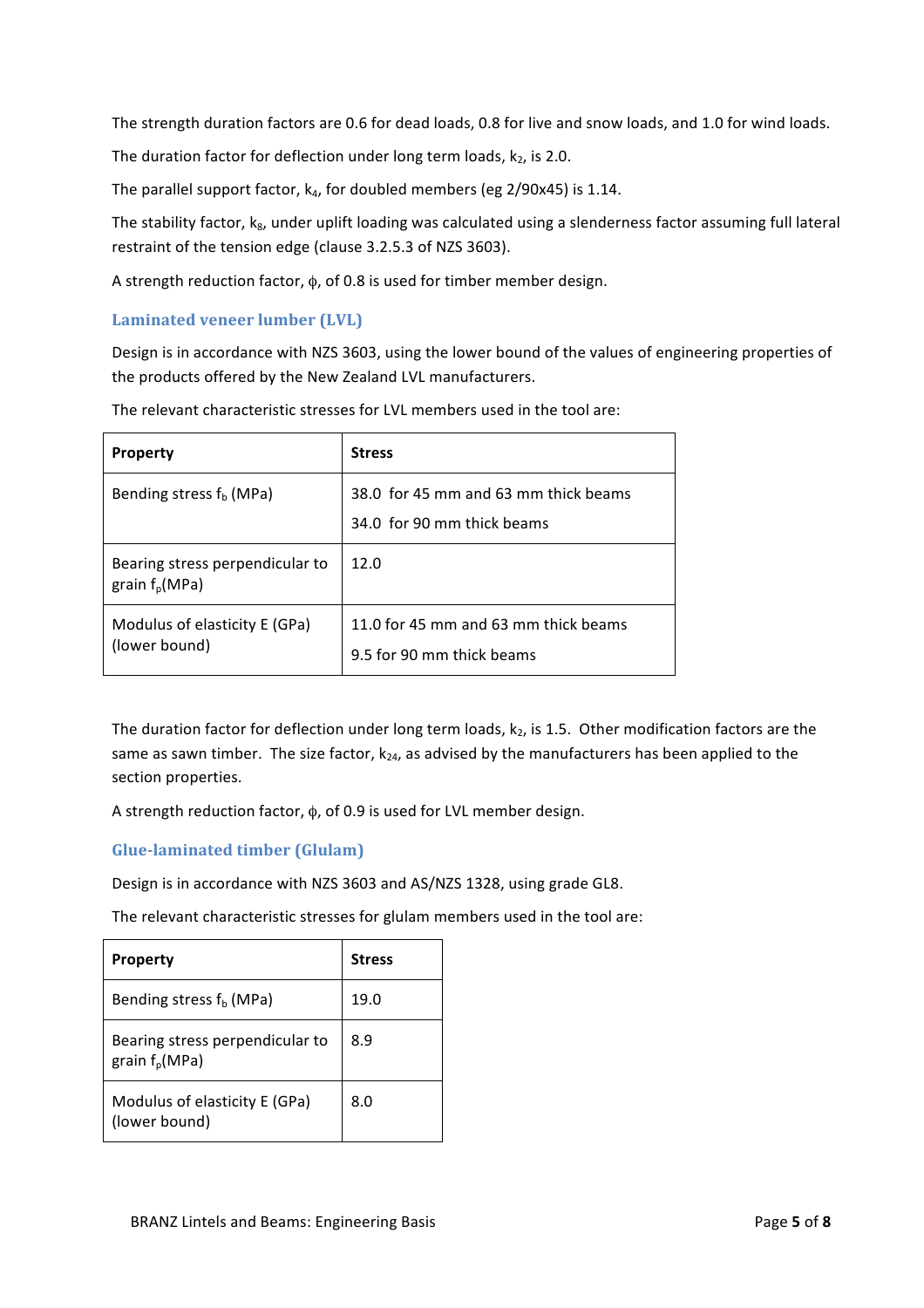The strength duration factors are 0.6 for dead loads, 0.8 for live and snow loads, and 1.0 for wind loads.

The duration factor for deflection under long term loads,  $k_2$ , is 2.0.

The parallel support factor,  $k_4$ , for doubled members (eg 2/90x45) is 1.14.

The stability factor, k<sub>8</sub>, under uplift loading was calculated using a slenderness factor assuming full lateral restraint of the tension edge (clause 3.2.5.3 of NZS 3603).

A strength reduction factor,  $\phi$ , of 0.8 is used for timber member design.

#### **Laminated veneer lumber (LVL)**

Design is in accordance with NZS 3603, using the lower bound of the values of engineering properties of the products offered by the New Zealand LVL manufacturers.

| <b>Property</b>                                     | <b>Stress</b>                                                      |
|-----------------------------------------------------|--------------------------------------------------------------------|
| Bending stress $f_b$ (MPa)                          | 38.0 for 45 mm and 63 mm thick beams<br>34.0 for 90 mm thick beams |
| Bearing stress perpendicular to<br>grain $f_p(MPa)$ | 12.0                                                               |
| Modulus of elasticity E (GPa)<br>(lower bound)      | 11.0 for 45 mm and 63 mm thick beams<br>9.5 for 90 mm thick beams  |

The relevant characteristic stresses for LVL members used in the tool are:

The duration factor for deflection under long term loads,  $k_2$ , is 1.5. Other modification factors are the same as sawn timber. The size factor,  $k_{24}$ , as advised by the manufacturers has been applied to the section properties.

A strength reduction factor,  $\phi$ , of 0.9 is used for LVL member design.

#### **Glue-laminated timber (Glulam)**

Design is in accordance with NZS 3603 and AS/NZS 1328, using grade GL8.

The relevant characteristic stresses for glulam members used in the tool are:

| <b>Property</b>                                     | <b>Stress</b> |
|-----------------------------------------------------|---------------|
| Bending stress $fb$ (MPa)                           | 19.0          |
| Bearing stress perpendicular to<br>grain $f_p(MPa)$ | 8.9           |
| Modulus of elasticity E (GPa)<br>(lower bound)      | 8.0           |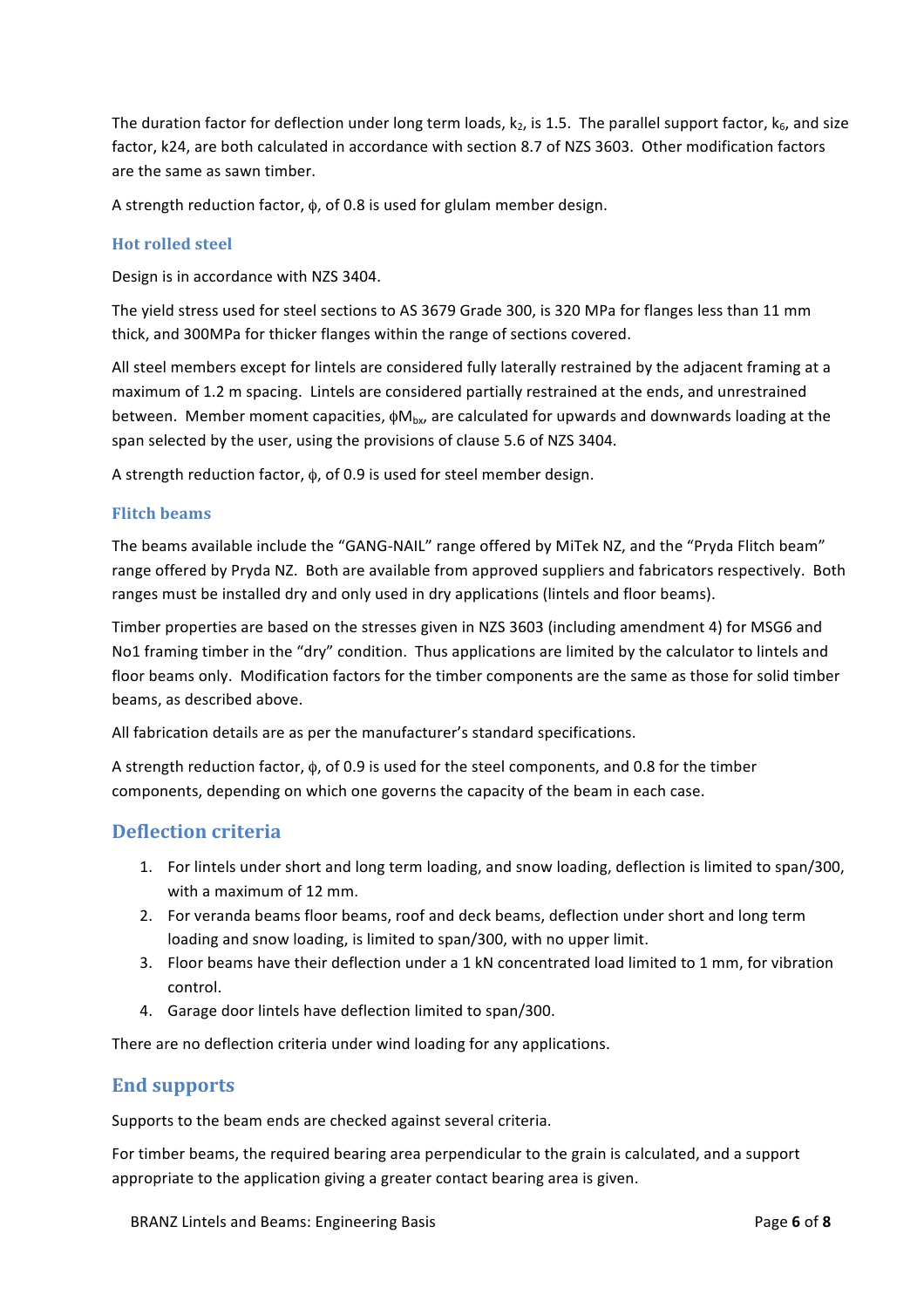The duration factor for deflection under long term loads,  $k_2$ , is 1.5. The parallel support factor,  $k_6$ , and size factor, k24, are both calculated in accordance with section 8.7 of NZS 3603. Other modification factors are the same as sawn timber.

A strength reduction factor,  $\phi$ , of 0.8 is used for glulam member design.

#### **Hot rolled steel**

Design is in accordance with NZS 3404.

The yield stress used for steel sections to AS 3679 Grade 300, is 320 MPa for flanges less than 11 mm thick, and 300MPa for thicker flanges within the range of sections covered.

All steel members except for lintels are considered fully laterally restrained by the adjacent framing at a maximum of 1.2 m spacing. Lintels are considered partially restrained at the ends, and unrestrained between. Member moment capacities,  $\phi M_{\text{bx}}$ , are calculated for upwards and downwards loading at the span selected by the user, using the provisions of clause 5.6 of NZS 3404.

A strength reduction factor,  $\phi$ , of 0.9 is used for steel member design.

#### **Flitch+beams**

The beams available include the "GANG-NAIL" range offered by MiTek NZ, and the "Pryda Flitch beam" range offered by Pryda NZ. Both are available from approved suppliers and fabricators respectively. Both ranges must be installed dry and only used in dry applications (lintels and floor beams).

Timber properties are based on the stresses given in NZS 3603 (including amendment 4) for MSG6 and No1 framing timber in the "dry" condition. Thus applications are limited by the calculator to lintels and floor beams only. Modification factors for the timber components are the same as those for solid timber beams, as described above.

All fabrication details are as per the manufacturer's standard specifications.

A strength reduction factor,  $\phi$ , of 0.9 is used for the steel components, and 0.8 for the timber components, depending on which one governs the capacity of the beam in each case.

#### **Deflection+criteria**

- 1. For lintels under short and long term loading, and snow loading, deflection is limited to span/300, with a maximum of 12 mm.
- 2. For veranda beams floor beams, roof and deck beams, deflection under short and long term loading and snow loading, is limited to span/300, with no upper limit.
- 3. Floor beams have their deflection under a 1 kN concentrated load limited to 1 mm, for vibration control.
- 4. Garage door lintels have deflection limited to span/300.

There are no deflection criteria under wind loading for any applications.

## **End supports**

Supports to the beam ends are checked against several criteria.

For timber beams, the required bearing area perpendicular to the grain is calculated, and a support appropriate to the application giving a greater contact bearing area is given.

BRANZ Lintels and Beams: Engineering Basis **Page 6** of 8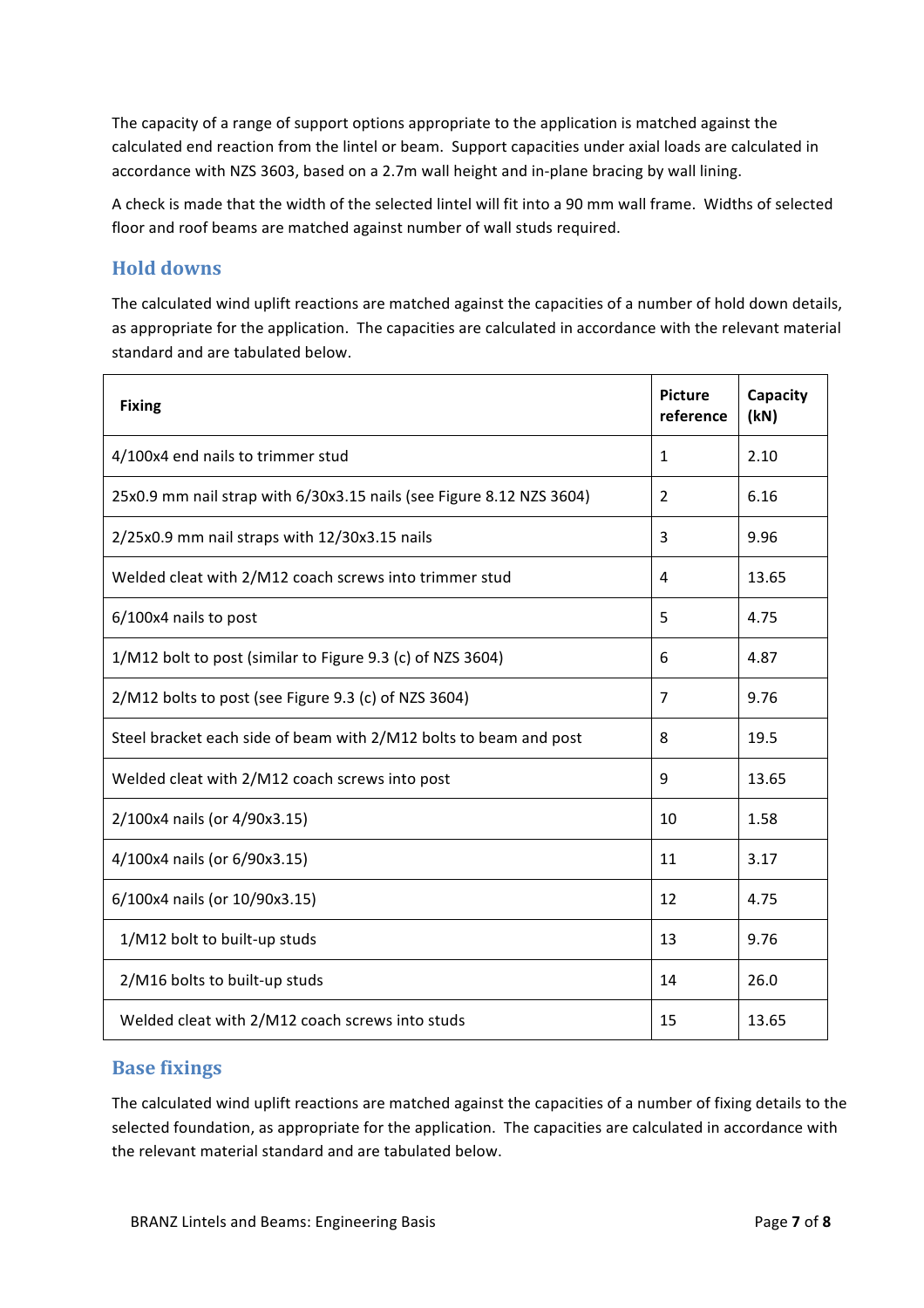The capacity of a range of support options appropriate to the application is matched against the calculated end reaction from the lintel or beam. Support capacities under axial loads are calculated in accordance with NZS 3603, based on a 2.7m wall height and in-plane bracing by wall lining.

A check is made that the width of the selected lintel will fit into a 90 mm wall frame. Widths of selected floor and roof beams are matched against number of wall studs required.

## **Hold+downs**

The calculated wind uplift reactions are matched against the capacities of a number of hold down details, as appropriate for the application. The capacities are calculated in accordance with the relevant material standard and are tabulated below.

| <b>Fixing</b>                                                        | <b>Picture</b><br>reference | Capacity<br>(kN) |
|----------------------------------------------------------------------|-----------------------------|------------------|
| 4/100x4 end nails to trimmer stud                                    | 1                           | 2.10             |
| 25x0.9 mm nail strap with 6/30x3.15 nails (see Figure 8.12 NZS 3604) | $\overline{2}$              | 6.16             |
| 2/25x0.9 mm nail straps with 12/30x3.15 nails                        | 3                           | 9.96             |
| Welded cleat with 2/M12 coach screws into trimmer stud               | 4                           | 13.65            |
| 6/100x4 nails to post                                                | 5                           | 4.75             |
| 1/M12 bolt to post (similar to Figure 9.3 (c) of NZS 3604)           | 6                           | 4.87             |
| 2/M12 bolts to post (see Figure 9.3 (c) of NZS 3604)                 | 7                           | 9.76             |
| Steel bracket each side of beam with 2/M12 bolts to beam and post    | 8                           | 19.5             |
| Welded cleat with 2/M12 coach screws into post                       | 9                           | 13.65            |
| 2/100x4 nails (or 4/90x3.15)                                         | 10                          | 1.58             |
| 4/100x4 nails (or 6/90x3.15)                                         | 11                          | 3.17             |
| 6/100x4 nails (or 10/90x3.15)                                        | 12                          | 4.75             |
| 1/M12 bolt to built-up studs                                         | 13                          | 9.76             |
| 2/M16 bolts to built-up studs                                        | 14                          | 26.0             |
| Welded cleat with 2/M12 coach screws into studs                      | 15                          | 13.65            |

#### **Base fixings**

The calculated wind uplift reactions are matched against the capacities of a number of fixing details to the selected foundation, as appropriate for the application. The capacities are calculated in accordance with the relevant material standard and are tabulated below.